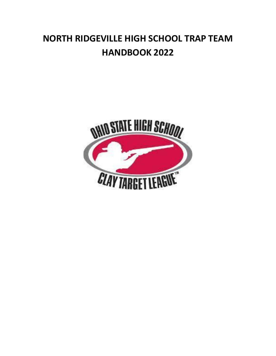## **NORTH RIDGEVILLE HIGH SCHOOL TRAP TEAM HANDBOOK 2022**

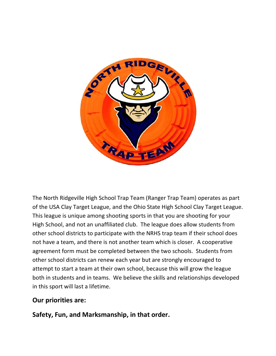

The North Ridgeville High School Trap Team (Ranger Trap Team) operates as part of the USA Clay Target League, and the Ohio State High School Clay Target League. This league is unique among shooting sports in that you are shooting for your High School, and not an unaffiliated club. The league does allow students from other school districts to participate with the NRHS trap team if their school does not have a team, and there is not another team which is closer. A cooperative agreement form must be completed between the two schools. Students from other school districts can renew each year but are strongly encouraged to attempt to start a team at their own school, because this will grow the league both in students and in teams. We believe the skills and relationships developed in this sport will last a lifetime.

### **Our priorities are:**

### **Safety, Fun, and Marksmanship, in that order.**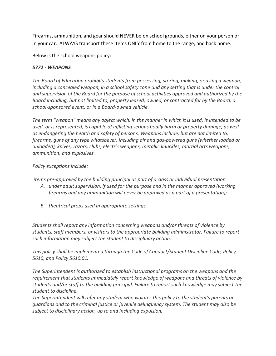Firearms, ammunition, and gear should NEVER be on school grounds, either on your person or in your car. ALWAYS transport these items ONLY from home to the range, and back home.

Below is the school weapons policy:

#### *5772 - WEAPONS*

*The Board of Education prohibits students from possessing, storing, making, or using a weapon, including a concealed weapon, in a school safety zone and any setting that is under the control and supervision of the Board for the purpose of school activities approved and authorized by the Board including, but not limited to, property leased, owned, or contracted for by the Board, a school-sponsored event, or in a Board-owned vehicle.*

*The term "weapon" means any object which, in the manner in which it is used, is intended to be used, or is represented, is capable of inflicting serious bodily harm or property damage, as well as endangering the health and safety of persons. Weapons include, but are not limited to, firearms, guns of any type whatsoever, including air and gas-powered guns (whether loaded or unloaded), knives, razors, clubs, electric weapons, metallic knuckles, martial arts weapons, ammunition, and explosives.*

#### *Policy exceptions include:*

*items pre-approved by the building principal as part of a class or individual presentation* 

- *A. under adult supervision, if used for the purpose and in the manner approved (working firearms and any ammunition will never be approved as a part of a presentation);*
- *B. theatrical props used in appropriate settings.*

*Students shall report any information concerning weapons and/or threats of violence by students, staff members, or visitors to the appropriate building administrator. Failure to report such information may subject the student to disciplinary action.*

*This policy shall be implemented through the Code of Conduct/Student Discipline Code, Policy 5610, and Policy 5610.01.*

*The Superintendent is authorized to establish instructional programs on the weapons and the requirement that students immediately report knowledge of weapons and threats of violence by students and/or staff to the building principal. Failure to report such knowledge may subject the student to discipline.*

*The Superintendent will refer any student who violates this policy to the student's parents or guardians and to the criminal justice or juvenile delinquency system. The student may also be subject to disciplinary action, up to and including expulsion.*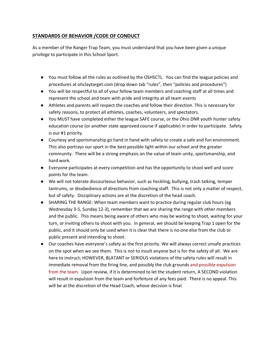#### **STANDARDS OF BEHAVIOR /CODE OF CONDUCT**

As a member of the Ranger Trap Team, you must understand that you have been given a unique privilege to participate in this School Sport.

- You must follow all the rules as outlined by the OSHSCTL. You can find the league policies and procedures at ohclaytarget.com (drop down tab "rules", then "policies and procedures")
- You will be respectful to all of your fellow team members and coaching staff at all times and represent the school and team with pride and integrity at all team events
- Athletes and parents will respect the coaches and follow their direction. This is necessary for safety reasons, to protect all athletes, coaches, volunteers, and spectators.
- You MUST have completed either the league SAFE course, or the Ohio DNR youth hunter safety education course (or another state approved course if applicable) in order to participate. Safety is our #1 priority.
- Courtesy and sportsmanship go hand in hand with safety to create a safe and fun environment. This also portrays our sport in the best possible light within our school and the greater community. There will be a strong emphasis on the value of team unity, sportsmanship, and hard work.
- Everyone participates at every competition and has the opportunity to shoot well and score points for the team.
- We will not tolerate discourteous behavior, such as heckling, bullying, trash talking, temper tantrums, or disobedience of directions from coaching staff. This is not only a matter of respect, but of safety. Disciplinary actions are at the discretion of the head coach.
- SHARING THE RANGE: When team members want to practice during regular club hours (eg Wednesday 3-5, Sunday 12-3), remember that we are sharing the range with other members and the public. This means being aware of others who may be waiting to shoot, waiting for your turn, or inviting others to shoot with you. In general, we should be keeping Trap 1 open for the public, and it should only be used when it is clear that there is no one else from the club or public present and intending to shoot.
- Our coaches have everyone's safety as the first priority. We will always correct unsafe practices on the spot when we see them. This is not to insult anyone but is for the safety of all. We are here to instruct; HOWEVER, BLATANT or SERIOUS violations of the safety rules will result in immediate removal from the firing line, and possibly the club grounds and possible expulsion from the team. Upon review, if it is determined to let the student return, A SECOND violation will result in expulsion from the team and forfeiture of any fees paid. There is no appeal. This will be at the discretion of the Head Coach, whose decision is final.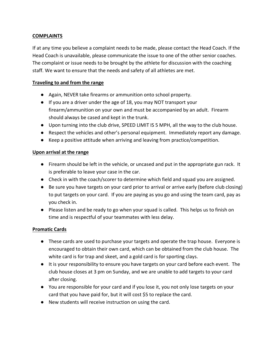#### **COMPLAINTS**

If at any time you believe a complaint needs to be made, please contact the Head Coach. If the Head Coach is unavailable, please communicate the issue to one of the other senior coaches. The complaint or issue needs to be brought by the athlete for discussion with the coaching staff. We want to ensure that the needs and safety of all athletes are met.

#### **Traveling to and from the range**

- Again, NEVER take firearms or ammunition onto school property.
- If you are a driver under the age of 18, you may NOT transport your firearm/ammunition on your own and must be accompanied by an adult. Firearm should always be cased and kept in the trunk.
- Upon turning into the club drive, SPEED LIMIT IS 5 MPH, all the way to the club house.
- Respect the vehicles and other's personal equipment. Immediately report any damage.
- Keep a positive attitude when arriving and leaving from practice/competition.

#### **Upon arrival at the range**

- Firearm should be left in the vehicle, or uncased and put in the appropriate gun rack. It is preferable to leave your case in the car.
- Check in with the coach/scorer to determine which field and squad you are assigned.
- Be sure you have targets on your card prior to arrival or arrive early (before club closing) to put targets on your card. If you are paying as you go and using the team card, pay as you check in.
- Please listen and be ready to go when your squad is called. This helps us to finish on time and is respectful of your teammates with less delay.

#### **Promatic Cards**

- These cards are used to purchase your targets and operate the trap house. Everyone is encouraged to obtain their own card, which can be obtained from the club house. The white card is for trap and skeet, and a gold card is for sporting clays.
- It is your responsibility to ensure you have targets on your card before each event. The club house closes at 3 pm on Sunday, and we are unable to add targets to your card after closing.
- You are responsible for your card and if you lose it, you not only lose targets on your card that you have paid for, but it will cost \$5 to replace the card.
- New students will receive instruction on using the card.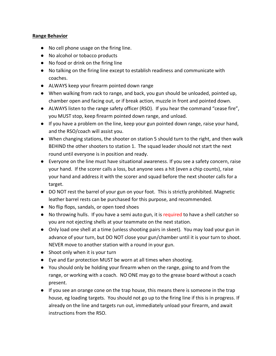#### **Range Behavior**

- No cell phone usage on the firing line.
- No alcohol or tobacco products
- No food or drink on the firing line
- No talking on the firing line except to establish readiness and communicate with coaches.
- ALWAYS keep your firearm pointed down range
- When walking from rack to range, and back, you gun should be unloaded, pointed up, chamber open and facing out, or if break action, muzzle in front and pointed down.
- ALWAYS listen to the range safety officer (RSO). If you hear the command "cease fire", you MUST stop, keep firearm pointed down range, and unload.
- If you have a problem on the line, keep your gun pointed down range, raise your hand, and the RSO/coach will assist you.
- When changing stations, the shooter on station 5 should turn to the right, and then walk BEHIND the other shooters to station 1. The squad leader should not start the next round until everyone is in position and ready.
- Everyone on the line must have situational awareness. If you see a safety concern, raise your hand. If the scorer calls a loss, but anyone sees a hit (even a chip counts), raise your hand and address it with the scorer and squad before the next shooter calls for a target.
- DO NOT rest the barrel of your gun on your foot. This is strictly prohibited. Magnetic leather barrel rests can be purchased for this purpose, and recommended.
- No flip flops, sandals, or open toed shoes
- No throwing hulls. If you have a semi auto gun, it is required to have a shell catcher so you are not ejecting shells at your teammate on the next station.
- Only load one shell at a time (unless shooting pairs in skeet). You may load your gun in advance of your turn, but DO NOT close your gun/chamber until it is your turn to shoot. NEVER move to another station with a round in your gun.
- Shoot only when it is your turn
- Eye and Ear protection MUST be worn at all times when shooting.
- You should only be holding your firearm when on the range, going to and from the range, or working with a coach. NO ONE may go to the grease board without a coach present.
- If you see an orange cone on the trap house, this means there is someone in the trap house, eg loading targets. You should not go up to the firing line if this is in progress. If already on the line and targets run out, immediately unload your firearm, and await instructions from the RSO.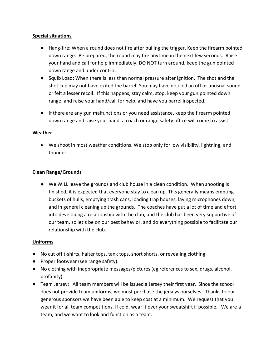#### **Special situations**

- Hang-fire: When a round does not fire after pulling the trigger. Keep the firearm pointed down range. Be prepared, the round may fire anytime in the next few seconds. Raise your hand and call for help immediately. DO NOT turn around, keep the gun pointed down range and under control.
- Squib Load: When there is less than normal pressure after ignition. The shot and the shot cup may not have exited the barrel. You may have noticed an off or unusual sound or felt a lesser recoil. If this happens, stay calm, stop, keep your gun pointed down range, and raise your hand/call for help, and have you barrel inspected.
- If there are any gun malfunctions or you need assistance, keep the firearm pointed down range and raise your hand, a coach or range safety office will come to assist.

#### **Weather**

• We shoot in most weather conditions. We stop only for low visibility, lightning, and thunder.

#### **Clean Range/Grounds**

● We WILL leave the grounds and club house in a clean condition. When shooting is finished, it is expected that everyone stay to clean up. This generally means empting buckets of hulls, emptying trash cans, loading trap houses, laying microphones down, and in general cleaning up the grounds. The coaches have put a lot of time and effort into developing a relationship with the club, and the club has been very supportive of our team, so let's be on our best behavior, and do everything possible to facilitate our relationship with the club.

#### **Uniforms**

- No cut off t-shirts, halter tops, tank tops, short shorts, or revealing clothing
- Proper footwear (see range safety).
- No clothing with inappropriate messages/pictures (eg references to sex, drugs, alcohol, profanity)
- Team Jersey: All team members will be issued a Jersey their first year. Since the school does not provide team uniforms, we must purchase the jerseys ourselves. Thanks to our generous sponsors we have been able to keep cost at a minimum. We request that you wear it for all team competitions. If cold, wear it over your sweatshirt if possible. We are a team, and we want to look and function as a team.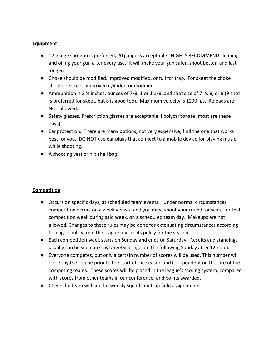#### **Equipment**

- 12-gauge shotgun is preferred, 20 gauge is acceptable. HIGHLY RECOMMEND cleaning and oiling your gun after every use. It will make your gun safer, shoot better, and last longer.
- Choke should be modified, improved modified, or full for trap. For skeet the choke should be skeet, improved cylinder, or modified.
- Ammunition is 2  $\frac{3}{4}$  inches, ounces of 7/8, 1 or 1 1/8, and shot size of 7  $\frac{1}{2}$ , 8, or 9 (9 shot is preferred for skeet, but 8 is good too). Maximum velocity is 1290 fps. Reloads are NOT allowed.
- Safety glasses. Prescription glasses are acceptable if polycarbonate (most are these days)
- Ear protection. There are many options, not very expensive, find the one that works best for you. DO NOT use ear plugs that connect to a mobile device for playing music while shooting.
- A shooting vest or hip shell bag.

#### **Competition**

- Occurs on specific days, at scheduled team events. Under normal circumstances, competition occurs on a weekly basis, and you must shoot your round for score for that competition week during said week, on a scheduled team day. Makeups are not allowed. Changes to these rules may be done for extenuating circumstances according to league policy, or if the league revises its policy for the season.
- Each competition week starts on Sunday and ends on Saturday. Results and standings usually can be seen on ClayTargetScoring.com the following Sunday after 12 noon.
- Everyone competes, but only a certain number of scores will be used. This number will be set by the league prior to the start of the season and is dependent on the size of the competing teams. These scores will be placed in the league's scoring system, compared with scores from other teams in our conference, and points awarded.
- Check the team website for weekly squad and trap field assignments.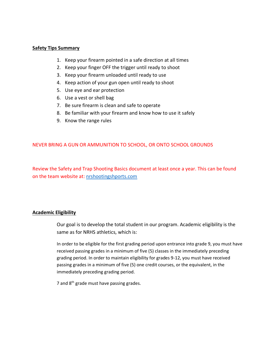#### **Safety Tips Summary**

- 1. Keep your firearm pointed in a safe direction at all times
- 2. Keep your finger OFF the trigger until ready to shoot
- 3. Keep your firearm unloaded until ready to use
- 4. Keep action of your gun open until ready to shoot
- 5. Use eye and ear protection
- 6. Use a vest or shell bag
- 7. Be sure firearm is clean and safe to operate
- 8. Be familiar with your firearm and know how to use it safely
- 9. Know the range rules

#### NEVER BRING A GUN OR AMMUNITION TO SCHOOL, OR ONTO SCHOOL GROUNDS

Review the Safety and Trap Shooting Basics document at least once a year. This can be found on the team website at: [nrshootingshports.com](file:///C:/Users/Grant/AppData/Local/Packages/microsoft.windowscommunicationsapps_8wekyb3d8bbwe/LocalState/Files/S0/5/Attachments/nrshootingshports.com)

#### **Academic Eligibility**

Our goal is to develop the total student in our program. Academic eligibility is the same as for NRHS athletics, which is:

In order to be eligible for the first grading period upon entrance into grade 9, you must have received passing grades in a minimum of five (5) classes in the immediately preceding grading period. In order to maintain eligibility for grades 9-12, you must have received passing grades in a minimum of five (5) one credit courses, or the equivalent, in the immediately preceding grading period.

7 and  $8<sup>th</sup>$  grade must have passing grades.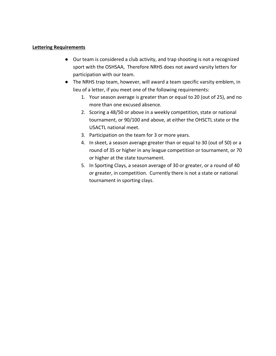#### **Lettering Requirements**

- Our team is considered a club activity, and trap shooting is not a recognized sport with the OSHSAA, Therefore NRHS does not award varsity letters for participation with our team.
- The NRHS trap team, however, will award a team specific varsity emblem, in lieu of a letter, if you meet one of the following requirements:
	- 1. Your season average is greater than or equal to 20 (out of 25), and no more than one excused absence.
	- 2. Scoring a 48/50 or above in a weekly competition, state or national tournament, or 90/100 and above, at either the OHSCTL state or the USACTL national meet.
	- 3. Participation on the team for 3 or more years.
	- 4. In skeet, a season average greater than or equal to 30 (out of 50) or a round of 35 or higher in any league competition or tournament, or 70 or higher at the state tournament.
	- 5. In Sporting Clays, a season average of 30 or greater, or a round of 40 or greater, in competition. Currently there is not a state or national tournament in sporting clays.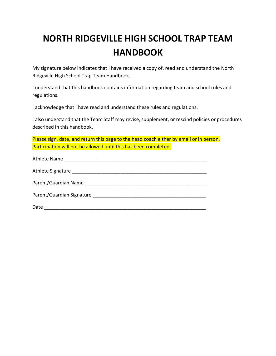# **NORTH RIDGEVILLE HIGH SCHOOL TRAP TEAM HANDBOOK**

My signature below indicates that I have received a copy of, read and understand the North Ridgeville High School Trap Team Handbook.

I understand that this handbook contains information regarding team and school rules and regulations.

I acknowledge that I have read and understand these rules and regulations.

I also understand that the Team Staff may revise, supplement, or rescind policies or procedures described in this handbook.

Please sign, date, and return this page to the head coach either by email or in person. Participation will not be allowed until this has been completed.

| Parent/Guardian Signature Manuscript Control of Parent/Guardian Signature |
|---------------------------------------------------------------------------|
| Date                                                                      |